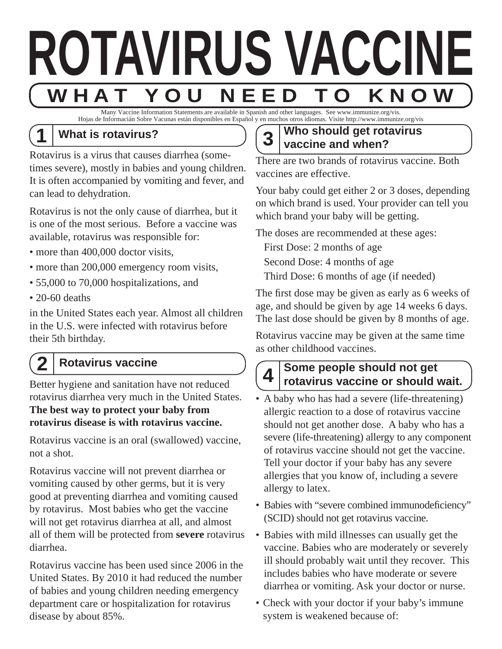

Many Vaccine Information Statements are available in Spanish and other languages. See www.immunize.org/vis. Hojas de Informacián Sobre Vacunas están disponibles en Español y en muchos otros idiomas. Visite http://www.immunize.org/vis

### **1 What is rotavirus?**

Rotavirus is a virus that causes diarrhea (sometimes severe), mostly in babies and young children. It is often accompanied by vomiting and fever, and can lead to dehydration.

Rotavirus is not the only cause of diarrhea, but it is one of the most serious. Before a vaccine was available, rotavirus was responsible for:

- more than 400,000 doctor visits,
- more than 200,000 emergency room visits,
- 55,000 to 70,000 hospitalizations, and
- 20-60 deaths

in the United States each year. Almost all children in the U.S. were infected with rotavirus before their 5th birthday.

# **2 Rotavirus vaccine**

Better hygiene and sanitation have not reduced rotavirus diarrhea very much in the United States. **The best way to protect your baby from rotavirus disease is with rotavirus vaccine.** 

Rotavirus vaccine is an oral (swallowed) vaccine, not a shot.

Rotavirus vaccine will not prevent diarrhea or vomiting caused by other germs, but it is very good at preventing diarrhea and vomiting caused by rotavirus. Most babies who get the vaccine will not get rotavirus diarrhea at all, and almost all of them will be protected from **severe** rotavirus diarrhea.

Rotavirus vaccine has been used since 2006 in the United States. By 2010 it had reduced the number of babies and young children needing emergency department care or hospitalization for rotavirus disease by about 85%.

### **3 Who should get rotavirus vaccine and when?**

There are two brands of rotavirus vaccine. Both vaccines are effective.

Your baby could get either 2 or 3 doses, depending on which brand is used. Your provider can tell you which brand your baby will be getting.

The doses are recommended at these ages:

First Dose: 2 months of age

Second Dose: 4 months of age

Third Dose: 6 months of age (if needed)

The first dose may be given as early as 6 weeks of age, and should be given by age 14 weeks 6 days. The last dose should be given by 8 months of age.

Rotavirus vaccine may be given at the same time as other childhood vaccines.

# **Some people should not get 4 rotavirus vaccine or should wait.**

- A baby who has had a severe (life-threatening) allergic reaction to a dose of rotavirus vaccine should not get another dose. A baby who has a severe (life-threatening) allergy to any component of rotavirus vaccine should not get the vaccine. Tell your doctor if your baby has any severe allergies that you know of, including a severe allergy to latex.
- Babies with "severe combined immunodeficiency" (SCID) should not get rotavirus vaccine.
- Babies with mild illnesses can usually get the vaccine. Babies who are moderately or severely ill should probably wait until they recover. This includes babies who have moderate or severe diarrhea or vomiting. Ask your doctor or nurse.
- Check with your doctor if your baby's immune system is weakened because of: